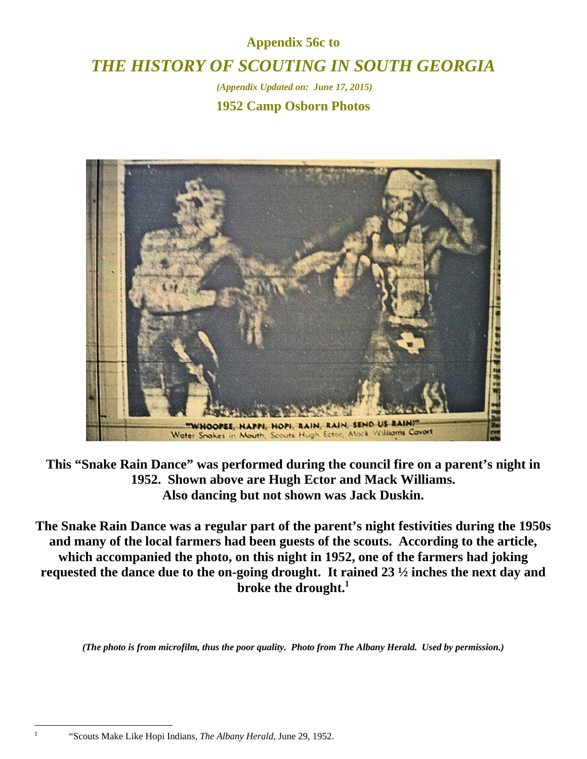## **Appendix 56c to**  *THE HISTORY OF SCOUTING IN SOUTH GEORGIA*

 *(Appendix Updated on: June 17, 2015)*

**1952 Camp Osborn Photos** 



**This "Snake Rain Dance" was performed during the council fire on a parent's night in 1952. Shown above are Hugh Ector and Mack Williams. Also dancing but not shown was Jack Duskin.** 

**The Snake Rain Dance was a regular part of the parent's night festivities during the 1950s and many of the local farmers had been guests of the scouts. According to the article, which accompanied the photo, on this night in 1952, one of the farmers had joking requested the dance due to the on-going drought. It rained 23 ½ inches the next day and broke the drought.1**

*(The photo is from microfilm, thus the poor quality. Photo from The Albany Herald. Used by permission.)* 

 $\overline{a}$ 1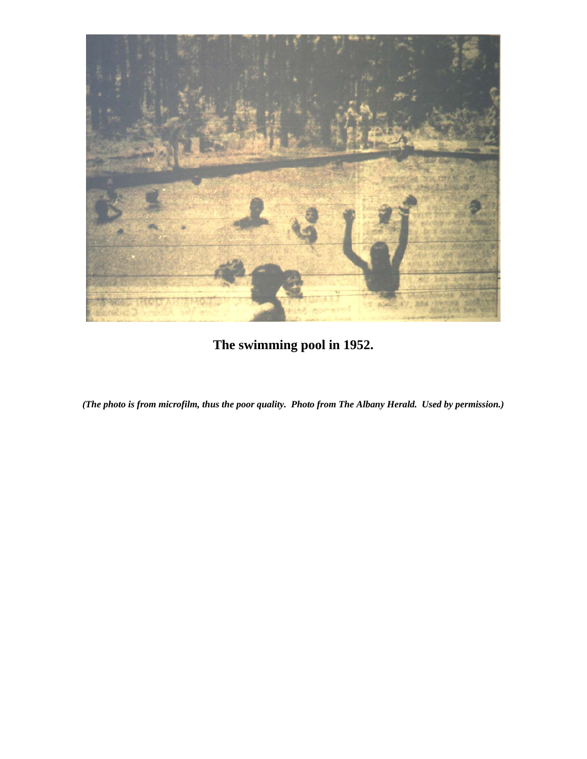

**The swimming pool in 1952.** 

*(The photo is from microfilm, thus the poor quality. Photo from The Albany Herald. Used by permission.)*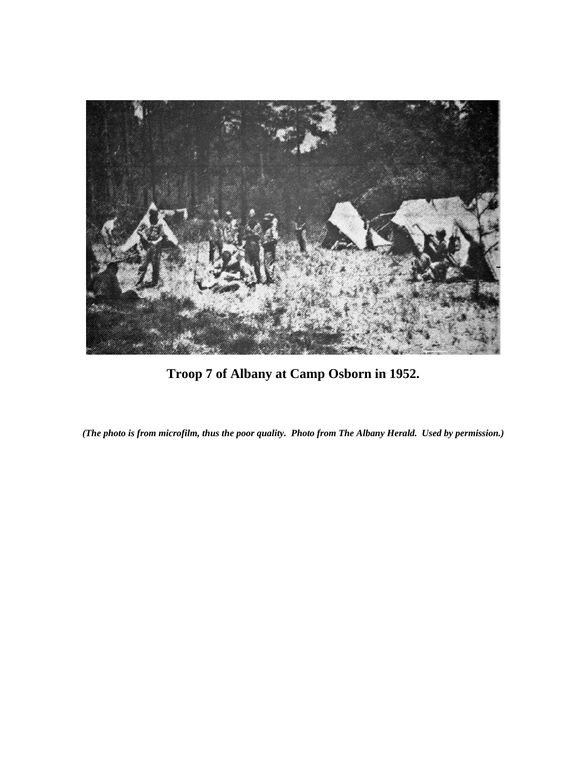

**Troop 7 of Albany at Camp Osborn in 1952.** 

*(The photo is from microfilm, thus the poor quality. Photo from The Albany Herald. Used by permission.)*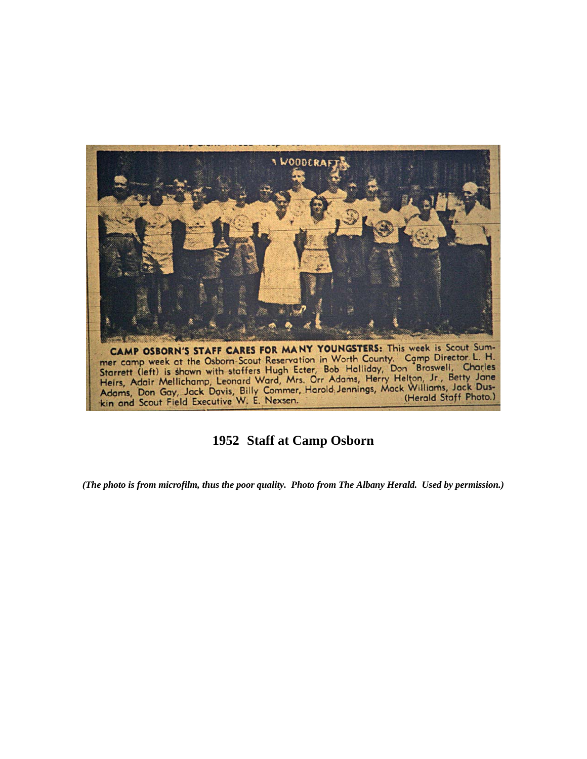

## **1952 Staff at Camp Osborn**

*(The photo is from microfilm, thus the poor quality. Photo from The Albany Herald. Used by permission.)*